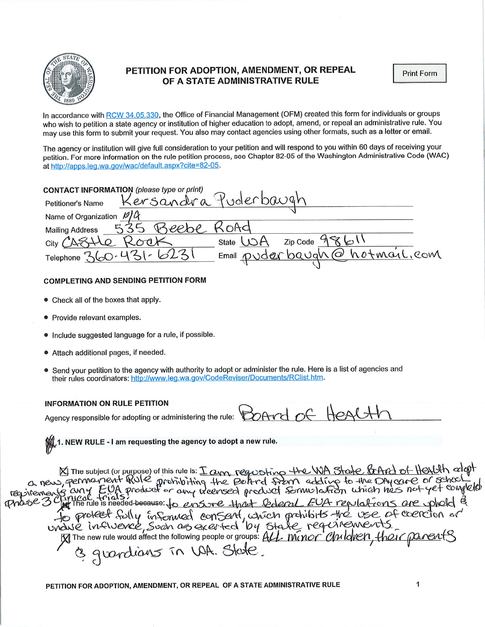

## PETITION FOR ADOPTION, AMENDMENT, OR REPEAL OF A STATE ADMINISTRATIVE RULE

In accordance with RCW 34.05.330, the Office of Financial Management (OFM) created this form for individuals or groups who wish to petition a state agency or institution of higher education to adopt, amend, or repeal an administrative rule. You may use this form to submit your request. You also may contact agencies using other formats, such as a letter or email.

The agency or institution will give full consideration to your petition and will respond to you within 60 days of receiving your petition. For more information on the rule petition process, see Chapter 82-05 of the Washington Administrative Code (WAC) at http://apps.leg.wa.gov/wac/default.aspx?cite=82-05.

| CONTACT INFORMATION (please type or print)           |  |
|------------------------------------------------------|--|
| Kersandra Puderbaugh<br>Petitioner's Name            |  |
| Name of Organization $\mathcal{P}/\mathcal{A}$       |  |
| SOAG<br><b>Mailing Address</b>                       |  |
| State $1 \wedge A$<br>Zip Code<br>City CAS           |  |
| Email puder baugh @ hotmail.com<br>Telephone 360-431 |  |
|                                                      |  |

## COMPLETING AND SENDING PETITION FORM

- Check all of the boxes that apply.
- Provide relevant examples.
- Include suggested language for a rule, if possible.
- Attach additional pages, if needed.
- Send your petition to the agency with authority to adopt or administer the rule. Here is a list of agencies and their rules coordinators: http://www.leg.wa.gov/CodeReviser/Documents/RClist.htm.

## INFORMATION ON RULE PETITION

| NFUKMATIUN UN KULE PETITIUN                                                       |  |  |
|-----------------------------------------------------------------------------------|--|--|
| Agency responsible for adopting or administering the rule: $\beta$ OArd of Health |  |  |

 $\mathcal{W}$  1. NEW RULE - I am requesting the agency to adopt a new rule.

€^ requiement The subject (or purpose) of this rule is:  $\pm$  Cyn,  $R^2$ &St $_{\infty}$  free WA  $R^2$  ( $R^2$  in  $\sigma$   $R^2$   $\sigma$   $\sigma$   $\sigma$   $\sigma$   $\sigma$ result extracted from the behind the extended educe to the important of  $\frac{1}{2}$  $f^{\text{max}}$  any  $f^{\text{max}}$  product or any treensed product some lates when he's the Thas  $S$  of the rule is needed-because: to ensine that lederal EVA repulations are fo proteer fully informed consent, which prohibits the use of vance influence, such as exerted by state requirements  $c + c$ cercion or uvA^€. The new rule would affect the following people or groups:  $\frac{\mu}{\mu}$  ( $\frac{\mu}{\nu}$  ( $\frac{\mu}{\nu}$ ) ( $\frac{\mu}{\nu}$ )  $\frac{\mu}{\nu}$  ( $\frac{\mu}{\nu}$ )  $\frac{\mu}{\nu}$  $3$  graphents in WR. State.

PETITION FOR ADOPTION, AMENDMENT, OR REPEAL OF A STATE ADMINISTRATIVE RULE